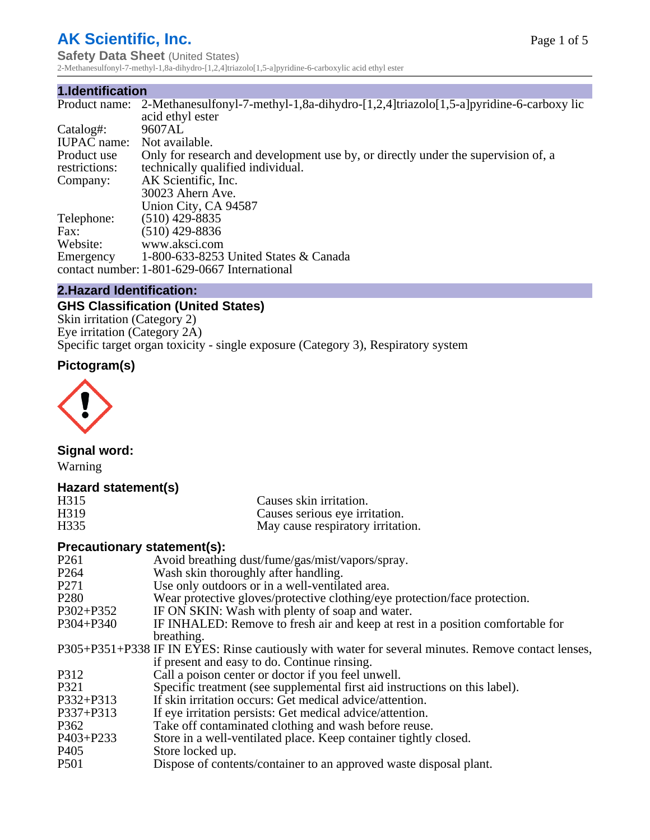## **AK Scientific, Inc.**

**Safety Data Sheet (United States)** 2-Methanesulfonyl-7-methyl-1,8a-dihydro-[1,2,4]triazolo[1,5-a]pyridine-6-carboxylic acid ethyl ester

#### **1.Identification**

|                    | Product name: 2-Methanesulfonyl-7-methyl-1,8a-dihydro-[1,2,4]triazolo[1,5-a]pyridine-6-carboxy lic |
|--------------------|----------------------------------------------------------------------------------------------------|
|                    | acid ethyl ester                                                                                   |
| Catalog#:          | 9607AL                                                                                             |
| <b>IUPAC</b> name: | Not available.                                                                                     |
| Product use        | Only for research and development use by, or directly under the supervision of, a                  |
| restrictions:      | technically qualified individual.                                                                  |
| Company:           | AK Scientific, Inc.                                                                                |
|                    | 30023 Ahern Ave.                                                                                   |
|                    | Union City, CA 94587                                                                               |
| Telephone:         | $(510)$ 429-8835                                                                                   |
| Fax:               | (510) 429-8836                                                                                     |
| Website:           | www.aksci.com                                                                                      |
| Emergency          | 1-800-633-8253 United States & Canada                                                              |
|                    | contact number: 1-801-629-0667 International                                                       |

#### **2.Hazard Identification:**

## **GHS Classification (United States)**

Skin irritation (Category 2) Eye irritation (Category 2A) Specific target organ toxicity - single exposure (Category 3), Respiratory system

## **Pictogram(s)**



## **Signal word:**

Warning

#### **Hazard statement(s)**

| H315              | Causes skin irritation.           |
|-------------------|-----------------------------------|
| H <sub>3</sub> 19 | Causes serious eye irritation.    |
| H <sub>335</sub>  | May cause respiratory irritation. |

#### **Precautionary statement(s):**

| P <sub>261</sub> | Avoid breathing dust/fume/gas/mist/vapors/spray.                                                   |
|------------------|----------------------------------------------------------------------------------------------------|
| P <sub>264</sub> | Wash skin thoroughly after handling.                                                               |
| P <sub>271</sub> | Use only outdoors or in a well-ventilated area.                                                    |
| P <sub>280</sub> | Wear protective gloves/protective clothing/eye protection/face protection.                         |
| P302+P352        | IF ON SKIN: Wash with plenty of soap and water.                                                    |
| $P304 + P340$    | IF INHALED: Remove to fresh air and keep at rest in a position comfortable for                     |
|                  | breathing.                                                                                         |
|                  | P305+P351+P338 IF IN EYES: Rinse cautiously with water for several minutes. Remove contact lenses, |
|                  | if present and easy to do. Continue rinsing.                                                       |
| P312             | Call a poison center or doctor if you feel unwell.                                                 |
| P321             | Specific treatment (see supplemental first aid instructions on this label).                        |
| P332+P313        | If skin irritation occurs: Get medical advice/attention.                                           |
| $P337 + P313$    | If eye irritation persists: Get medical advice/attention.                                          |
| P362             | Take off contaminated clothing and wash before reuse.                                              |
| $P403 + P233$    | Store in a well-ventilated place. Keep container tightly closed.                                   |
| P <sub>405</sub> | Store locked up.                                                                                   |
| P <sub>501</sub> | Dispose of contents/container to an approved waste disposal plant.                                 |
|                  |                                                                                                    |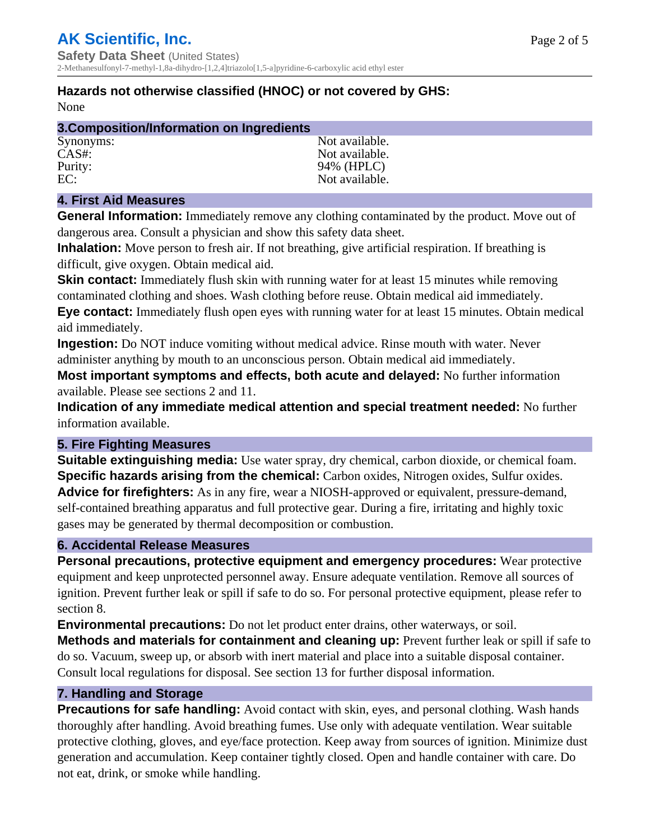## **Hazards not otherwise classified (HNOC) or not covered by GHS:**

None

| 3. Composition/Information on Ingredients |                |  |
|-------------------------------------------|----------------|--|
| Synonyms:                                 | Not available. |  |
| CAS#                                      | Not available. |  |
| Purity:                                   | 94% (HPLC)     |  |
| EC:                                       | Not available. |  |

### **4. First Aid Measures**

**General Information:** Immediately remove any clothing contaminated by the product. Move out of dangerous area. Consult a physician and show this safety data sheet.

**Inhalation:** Move person to fresh air. If not breathing, give artificial respiration. If breathing is difficult, give oxygen. Obtain medical aid.

**Skin contact:** Immediately flush skin with running water for at least 15 minutes while removing contaminated clothing and shoes. Wash clothing before reuse. Obtain medical aid immediately. **Eye contact:** Immediately flush open eyes with running water for at least 15 minutes. Obtain medical aid immediately.

**Ingestion:** Do NOT induce vomiting without medical advice. Rinse mouth with water. Never administer anything by mouth to an unconscious person. Obtain medical aid immediately.

**Most important symptoms and effects, both acute and delayed:** No further information available. Please see sections 2 and 11.

**Indication of any immediate medical attention and special treatment needed:** No further information available.

### **5. Fire Fighting Measures**

**Suitable extinguishing media:** Use water spray, dry chemical, carbon dioxide, or chemical foam. **Specific hazards arising from the chemical:** Carbon oxides, Nitrogen oxides, Sulfur oxides. **Advice for firefighters:** As in any fire, wear a NIOSH-approved or equivalent, pressure-demand, self-contained breathing apparatus and full protective gear. During a fire, irritating and highly toxic gases may be generated by thermal decomposition or combustion.

#### **6. Accidental Release Measures**

**Personal precautions, protective equipment and emergency procedures:** Wear protective equipment and keep unprotected personnel away. Ensure adequate ventilation. Remove all sources of ignition. Prevent further leak or spill if safe to do so. For personal protective equipment, please refer to section 8.

**Environmental precautions:** Do not let product enter drains, other waterways, or soil.

**Methods and materials for containment and cleaning up:** Prevent further leak or spill if safe to do so. Vacuum, sweep up, or absorb with inert material and place into a suitable disposal container. Consult local regulations for disposal. See section 13 for further disposal information.

#### **7. Handling and Storage**

**Precautions for safe handling:** Avoid contact with skin, eyes, and personal clothing. Wash hands thoroughly after handling. Avoid breathing fumes. Use only with adequate ventilation. Wear suitable protective clothing, gloves, and eye/face protection. Keep away from sources of ignition. Minimize dust generation and accumulation. Keep container tightly closed. Open and handle container with care. Do not eat, drink, or smoke while handling.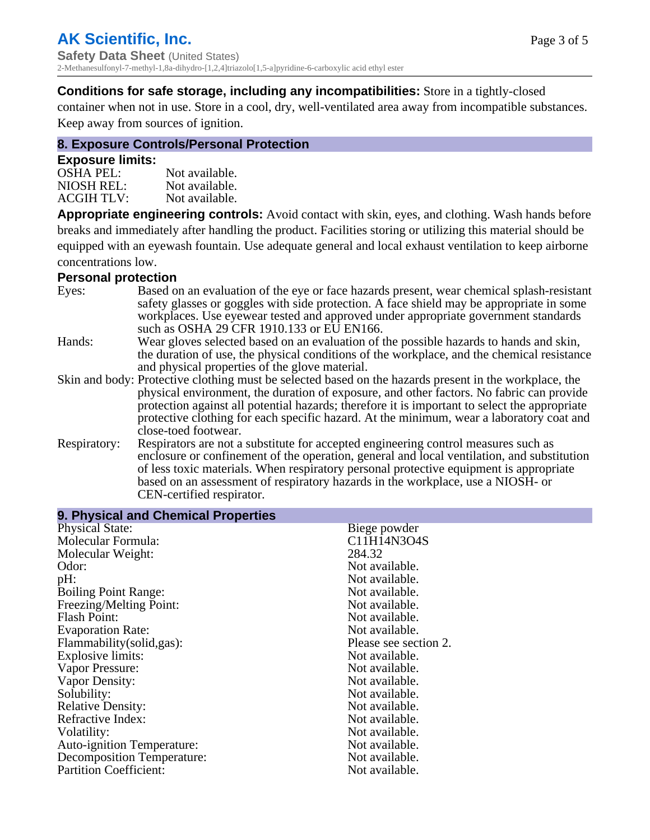#### **Conditions for safe storage, including any incompatibilities:** Store in a tightly-closed

container when not in use. Store in a cool, dry, well-ventilated area away from incompatible substances. Keep away from sources of ignition.

#### **8. Exposure Controls/Personal Protection**

#### **Exposure limits:**

| <b>OSHA PEL:</b>  | Not available. |
|-------------------|----------------|
| NIOSH REL:        | Not available. |
| <b>ACGIH TLV:</b> | Not available. |

**Appropriate engineering controls:** Avoid contact with skin, eyes, and clothing. Wash hands before breaks and immediately after handling the product. Facilities storing or utilizing this material should be equipped with an eyewash fountain. Use adequate general and local exhaust ventilation to keep airborne concentrations low.

#### **Personal protection**

| Eyes:        | Based on an evaluation of the eye or face hazards present, wear chemical splash-resistant<br>safety glasses or goggles with side protection. A face shield may be appropriate in some<br>workplaces. Use eyewear tested and approved under appropriate government standards<br>such as OSHA 29 CFR 1910.133 or EU EN166.                                                                                                |
|--------------|-------------------------------------------------------------------------------------------------------------------------------------------------------------------------------------------------------------------------------------------------------------------------------------------------------------------------------------------------------------------------------------------------------------------------|
| Hands:       | Wear gloves selected based on an evaluation of the possible hazards to hands and skin,<br>the duration of use, the physical conditions of the workplace, and the chemical resistance<br>and physical properties of the glove material.                                                                                                                                                                                  |
|              | Skin and body: Protective clothing must be selected based on the hazards present in the workplace, the<br>physical environment, the duration of exposure, and other factors. No fabric can provide<br>protection against all potential hazards; therefore it is important to select the appropriate<br>protective clothing for each specific hazard. At the minimum, wear a laboratory coat and<br>close-toed footwear. |
| Respiratory: | Respirators are not a substitute for accepted engineering control measures such as<br>enclosure or confinement of the operation, general and local ventilation, and substitution<br>of less toxic materials. When respiratory personal protective equipment is appropriate<br>based on an assessment of respiratory hazards in the workplace, use a NIOSH- or<br>CEN-certified respirator.                              |

| 9. Physical and Chemical Properties |                       |
|-------------------------------------|-----------------------|
| <b>Physical State:</b>              | Biege powder          |
| Molecular Formula:                  | C11H14N3O4S           |
| Molecular Weight:                   | 284.32                |
| Odor:                               | Not available.        |
| pH:                                 | Not available.        |
| <b>Boiling Point Range:</b>         | Not available.        |
| Freezing/Melting Point:             | Not available.        |
| <b>Flash Point:</b>                 | Not available.        |
| <b>Evaporation Rate:</b>            | Not available.        |
| Flammability(solid,gas):            | Please see section 2. |
| Explosive limits:                   | Not available.        |
| Vapor Pressure:                     | Not available.        |
| Vapor Density:                      | Not available.        |
| Solubility:                         | Not available.        |
| <b>Relative Density:</b>            | Not available.        |
| Refractive Index:                   | Not available.        |
| Volatility:                         | Not available.        |
| <b>Auto-ignition Temperature:</b>   | Not available.        |
| <b>Decomposition Temperature:</b>   | Not available.        |
| <b>Partition Coefficient:</b>       | Not available.        |
|                                     |                       |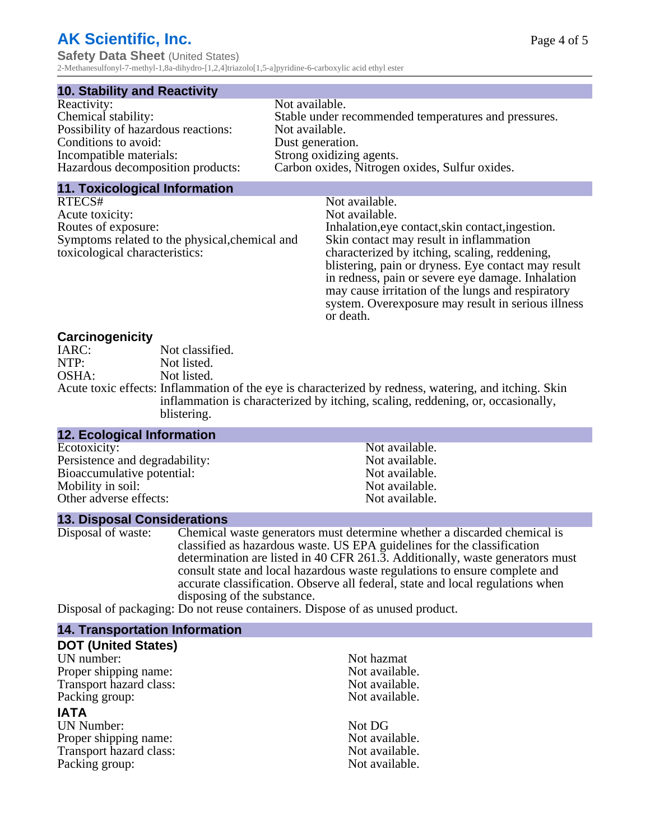# **AK Scientific, Inc.**

**Safety Data Sheet** (United States) 2-Methanesulfonyl-7-methyl-1,8a-dihydro-[1,2,4]triazolo[1,5-a]pyridine-6-carboxylic acid ethyl ester

#### **10. Stability and Reactivity**

| Reactivity:                         | Not available.                                       |
|-------------------------------------|------------------------------------------------------|
| Chemical stability:                 | Stable under recommended temperatures and pressures. |
| Possibility of hazardous reactions: | Not available.                                       |
| Conditions to avoid:                | Dust generation.                                     |
| Incompatible materials:             | Strong oxidizing agents.                             |
| Hazardous decomposition products:   | Carbon oxides, Nitrogen oxides, Sulfur oxides.       |
|                                     |                                                      |

#### **11. Toxicological Information**

| RTECS#                                         | Not available.                                      |
|------------------------------------------------|-----------------------------------------------------|
| Acute toxicity:                                | Not available.                                      |
| Routes of exposure:                            | Inhalation, eye contact, skin contact, ingestion.   |
| Symptoms related to the physical, chemical and | Skin contact may result in inflammation             |
| toxicological characteristics:                 | characterized by itching, scaling, reddening,       |
|                                                | blistering, pain or dryness. Eye contact may result |
|                                                | in redness, pain or severe eye damage. Inhalation   |
|                                                | may cause irritation of the lungs and respiratory   |
|                                                | system. Overexposure may result in serious illness  |

or death.

#### **Carcinogenicity**

| IARC: | Not classified.                                                                                       |
|-------|-------------------------------------------------------------------------------------------------------|
| NTP:  | Not listed.                                                                                           |
| OSHA: | Not listed.                                                                                           |
|       | Acute toxic effects: Inflammation of the eye is characterized by redness, watering, and itching. Skin |
|       | inflammation is characterized by itching, scaling, reddening, or, occasionally,                       |
|       | blistering.                                                                                           |

| <b>12. Ecological Information</b> |                |  |
|-----------------------------------|----------------|--|
| Ecotoxicity:                      | Not available. |  |
| Persistence and degradability:    | Not available. |  |
| Bioaccumulative potential:        | Not available. |  |
| Mobility in soil:                 | Not available. |  |
| Other adverse effects:            | Not available. |  |

#### **13. Disposal Considerations**

Disposal of waste: Chemical waste generators must determine whether a discarded chemical is classified as hazardous waste. US EPA guidelines for the classification determination are listed in 40 CFR 261.3. Additionally, waste generators must consult state and local hazardous waste regulations to ensure complete and accurate classification. Observe all federal, state and local regulations when disposing of the substance.

Disposal of packaging: Do not reuse containers. Dispose of as unused product.

| Not hazmat     |
|----------------|
| Not available. |
| Not available. |
| Not available. |
|                |
| Not DG         |
| Not available. |
| Not available. |
| Not available. |
|                |